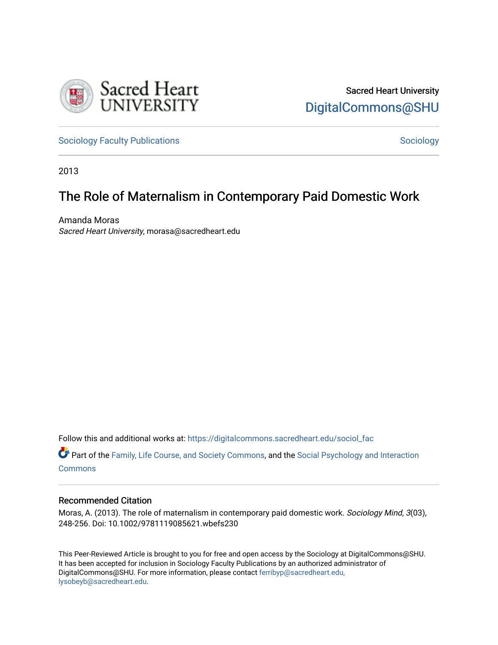

[Sociology Faculty Publications](https://digitalcommons.sacredheart.edu/sociol_fac) and [Sociology](https://digitalcommons.sacredheart.edu/sociol) Sociology Sociology

2013

# The Role of Maternalism in Contemporary Paid Domestic Work

Amanda Moras Sacred Heart University, morasa@sacredheart.edu

Follow this and additional works at: [https://digitalcommons.sacredheart.edu/sociol\\_fac](https://digitalcommons.sacredheart.edu/sociol_fac?utm_source=digitalcommons.sacredheart.edu%2Fsociol_fac%2F44&utm_medium=PDF&utm_campaign=PDFCoverPages) 

Part of the [Family, Life Course, and Society Commons,](http://network.bepress.com/hgg/discipline/419?utm_source=digitalcommons.sacredheart.edu%2Fsociol_fac%2F44&utm_medium=PDF&utm_campaign=PDFCoverPages) and the [Social Psychology and Interaction](http://network.bepress.com/hgg/discipline/430?utm_source=digitalcommons.sacredheart.edu%2Fsociol_fac%2F44&utm_medium=PDF&utm_campaign=PDFCoverPages) [Commons](http://network.bepress.com/hgg/discipline/430?utm_source=digitalcommons.sacredheart.edu%2Fsociol_fac%2F44&utm_medium=PDF&utm_campaign=PDFCoverPages)

# Recommended Citation

Moras, A. (2013). The role of maternalism in contemporary paid domestic work. Sociology Mind, 3(03), 248-256. Doi: 10.1002/9781119085621.wbefs230

This Peer-Reviewed Article is brought to you for free and open access by the Sociology at DigitalCommons@SHU. It has been accepted for inclusion in Sociology Faculty Publications by an authorized administrator of DigitalCommons@SHU. For more information, please contact [ferribyp@sacredheart.edu,](mailto:ferribyp@sacredheart.edu,%20lysobeyb@sacredheart.edu) [lysobeyb@sacredheart.edu](mailto:ferribyp@sacredheart.edu,%20lysobeyb@sacredheart.edu).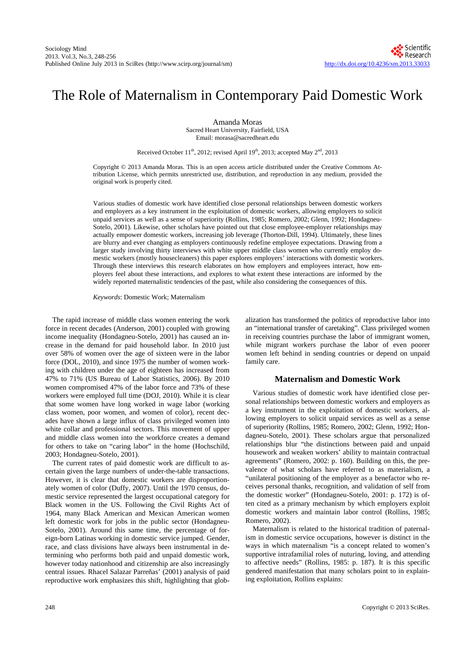# The Role of Maternalism in Contemporary Paid Domestic Work

Amanda Moras Sacred Heart University, Fairfield, USA Email: morasa@sacredheart.edu

Received October  $11<sup>th</sup>$ , 2012; revised April 19<sup>th</sup>, 2013; accepted May  $2<sup>nd</sup>$ , 2013

Copyright © 2013 Amanda Moras. This is an open access article distributed under the Creative Commons Attribution License, which permits unrestricted use, distribution, and reproduction in any medium, provided the original work is properly cited.

Various studies of domestic work have identified close personal relationships between domestic workers and employers as a key instrument in the exploitation of domestic workers, allowing employers to solicit unpaid services as well as a sense of superiority (Rollins, 1985; Romero, 2002; Glenn, 1992; Hondagneu-Sotelo, 2001). Likewise, other scholars have pointed out that close employee-employer relationships may actually empower domestic workers, increasing job leverage (Thorton-Dill, 1994). Ultimately, these lines are blurry and ever changing as employers continuously redefine employee expectations. Drawing from a larger study involving thirty interviews with white upper middle class women who currently employ domestic workers (mostly housecleaners) this paper explores employers' interactions with domestic workers. Through these interviews this research elaborates on how employers and employees interact, how employers feel about these interactions, and explores to what extent these interactions are informed by the widely reported maternalistic tendencies of the past, while also considering the consequences of this.

*Keywords*: Domestic Work; Maternalism

The rapid increase of middle class women entering the work force in recent decades (Anderson, 2001) coupled with growing income inequality (Hondagneu-Sotelo, 2001) has caused an increase in the demand for paid household labor. In 2010 just over 58% of women over the age of sixteen were in the labor force (DOL, 2010), and since 1975 the number of women working with children under the age of eighteen has increased from 47% to 71% (US Bureau of Labor Statistics, 2006). By 2010 women compromised 47% of the labor force and 73% of these workers were employed full time (DOJ, 2010). While it is clear that some women have long worked in wage labor (working class women, poor women, and women of color), recent decades have shown a large influx of class privileged women into white collar and professional sectors. This movement of upper and middle class women into the workforce creates a demand for others to take on "caring labor" in the home (Hochschild, 2003; Hondagneu-Sotelo, 2001).

The current rates of paid domestic work are difficult to ascertain given the large numbers of under-the-table transactions. However, it is clear that domestic workers are disproportionately women of color (Duffy, 2007). Until the 1970 census, domestic service represented the largest occupational category for Black women in the US. Following the Civil Rights Act of 1964, many Black American and Mexican American women left domestic work for jobs in the public sector (Hondagneu-Sotelo, 2001). Around this same time, the percentage of foreign-born Latinas working in domestic service jumped. Gender, race, and class divisions have always been instrumental in determining who performs both paid and unpaid domestic work, however today nationhood and citizenship are also increasingly central issues. Rhacel Salazar Parreñas' (2001) analysis of paid reproductive work emphasizes this shift, highlighting that globalization has transformed the politics of reproductive labor into an "international transfer of caretaking". Class privileged women in receiving countries purchase the labor of immigrant women, while migrant workers purchase the labor of even poorer women left behind in sending countries or depend on unpaid family care.

# **Maternalism and Domestic Work**

Various studies of domestic work have identified close personal relationships between domestic workers and employers as a key instrument in the exploitation of domestic workers, allowing employers to solicit unpaid services as well as a sense of superiority (Rollins, 1985; Romero, 2002; Glenn, 1992; Hondagneu-Sotelo, 2001). These scholars argue that personalized relationships blur "the distinctions between paid and unpaid housework and weaken workers' ability to maintain contractual agreements" (Romero, 2002: p. 160). Building on this, the prevalence of what scholars have referred to as materialism, a "unilateral positioning of the employer as a benefactor who receives personal thanks, recognition, and validation of self from the domestic worker" (Hondagneu-Sotelo, 2001: p. 172) is often cited as a primary mechanism by which employers exploit domestic workers and maintain labor control (Rollins, 1985; Romero, 2002).

Maternalism is related to the historical tradition of paternalism in domestic service occupations, however is distinct in the ways in which maternalism "is a concept related to women's supportive intrafamilial roles of nuturing, loving, and attending to affective needs" (Rollins, 1985: p. 187). It is this specific gendered manifestation that many scholars point to in explaining exploitation, Rollins explains: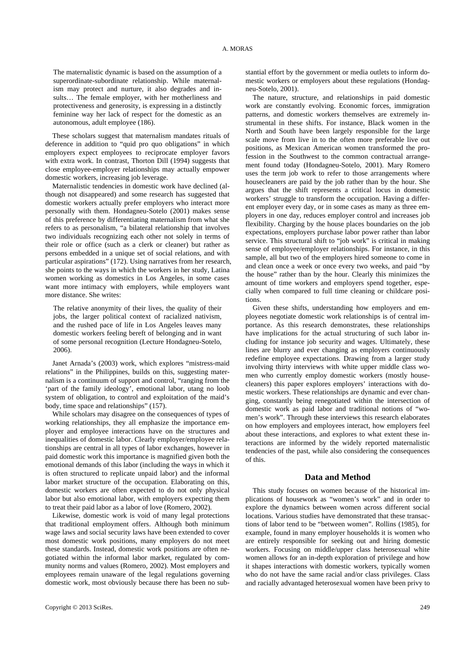The maternalistic dynamic is based on the assumption of a superordinate-subordinate relationship. While maternalism may protect and nurture, it also degrades and insults… The female employer, with her motherliness and protectiveness and generosity, is expressing in a distinctly feminine way her lack of respect for the domestic as an autonomous, adult employee (186).

These scholars suggest that maternalism mandates rituals of deference in addition to "quid pro quo obligations" in which employers expect employees to reciprocate employer favors with extra work. In contrast, Thorton Dill (1994) suggests that close employee-employer relationships may actually empower domestic workers, increasing job leverage.

Maternalistic tendencies in domestic work have declined (although not disappeared) and some research has suggested that domestic workers actually prefer employers who interact more personally with them. Hondagneu-Sotelo (2001) makes sense of this preference by differentiating maternalism from what she refers to as personalism, "a bilateral relationship that involves two individuals recognizing each other not solely in terms of their role or office (such as a clerk or cleaner) but rather as persons embedded in a unique set of social relations, and with particular aspirations" (172). Using narratives from her research, she points to the ways in which the workers in her study, Latina women working as domestics in Los Angeles, in some cases want more intimacy with employers, while employers want more distance. She writes:

The relative anonymity of their lives, the quality of their jobs, the larger political context of racialized nativism, and the rushed pace of life in Los Angeles leaves many domestic workers feeling bereft of belonging and in want of some personal recognition (Lecture Hondagneu-Sotelo, 2006).

Janet Arnada's (2003) work, which explores "mistress-maid relations" in the Philippines, builds on this, suggesting maternalism is a continuum of support and control, "ranging from the 'part of the family ideology', emotional labor, utang no loob system of obligation, to control and exploitation of the maid's body, time space and relationships" (157).

While scholars may disagree on the consequences of types of working relationships, they all emphasize the importance employer and employee interactions have on the structures and inequalities of domestic labor. Clearly employer/employee relationships are central in all types of labor exchanges, however in paid domestic work this importance is magnified given both the emotional demands of this labor (including the ways in which it is often structured to replicate unpaid labor) and the informal labor market structure of the occupation. Elaborating on this, domestic workers are often expected to do not only physical labor but also emotional labor, with employers expecting them to treat their paid labor as a labor of love (Romero, 2002).

Likewise, domestic work is void of many legal protections that traditional employment offers. Although both minimum wage laws and social security laws have been extended to cover most domestic work positions, many employers do not meet these standards. Instead, domestic work positions are often negotiated within the informal labor market, regulated by community norms and values (Romero, 2002). Most employers and employees remain unaware of the legal regulations governing domestic work, most obviously because there has been no substantial effort by the government or media outlets to inform domestic workers or employers about these regulations (Hondagneu-Sotelo, 2001).

The nature, structure, and relationships in paid domestic work are constantly evolving. Economic forces, immigration patterns, and domestic workers themselves are extremely instrumental in these shifts. For instance, Black women in the North and South have been largely responsible for the large scale move from live in to the often more preferable live out positions, as Mexican American women transformed the profession in the Southwest to the common contractual arrangement found today (Hondagneu-Sotelo, 2001). Mary Romero uses the term job work to refer to those arrangements where housecleaners are paid by the job rather than by the hour. She argues that the shift represents a critical locus in domestic workers' struggle to transform the occupation. Having a different employer every day, or in some cases as many as three employers in one day, reduces employer control and increases job flexibility. Charging by the house places boundaries on the job expectations, employers purchase labor power rather than labor service. This structural shift to "job work" is critical in making sense of employee/employer relationships. For instance, in this sample, all but two of the employers hired someone to come in and clean once a week or once every two weeks, and paid "by the house" rather than by the hour. Clearly this minimizes the amount of time workers and employers spend together, especially when compared to full time cleaning or childcare positions.

Given these shifts, understanding how employers and employees negotiate domestic work relationships is of central importance. As this research demonstrates, these relationships have implications for the actual structuring of such labor including for instance job security and wages. Ultimately, these lines are blurry and ever changing as employers continuously redefine employee expectations. Drawing from a larger study involving thirty interviews with white upper middle class women who currently employ domestic workers (mostly housecleaners) this paper explores employers' interactions with domestic workers. These relationships are dynamic and ever changing, constantly being renegotiated within the intersection of domestic work as paid labor and traditional notions of "women's work". Through these interviews this research elaborates on how employers and employees interact, how employers feel about these interactions, and explores to what extent these interactions are informed by the widely reported maternalistic tendencies of the past, while also considering the consequences of this.

### **Data and Method**

This study focuses on women because of the historical implications of housework as "women's work" and in order to explore the dynamics between women across different social locations. Various studies have demonstrated that these transactions of labor tend to be "between women". Rollins (1985), for example, found in many employer households it is women who are entirely responsible for seeking out and hiring domestic workers. Focusing on middle/upper class heterosexual white women allows for an in-depth exploration of privilege and how it shapes interactions with domestic workers, typically women who do not have the same racial and/or class privileges. Class and racially advantaged heterosexual women have been privy to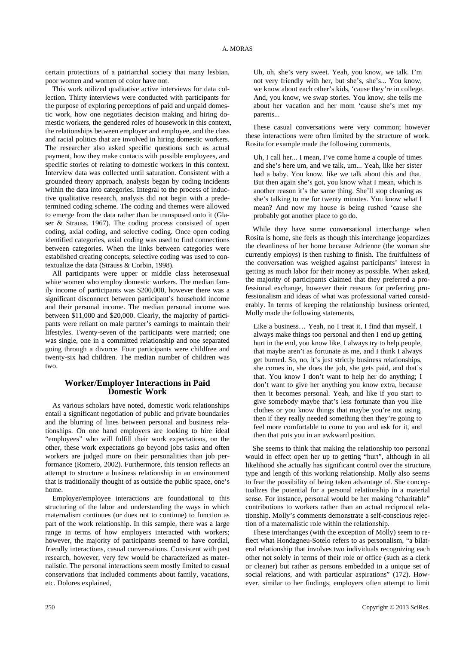certain protections of a patriarchal society that many lesbian, poor women and women of color have not.

This work utilized qualitative active interviews for data collection. Thirty interviews were conducted with participants for the purpose of exploring perceptions of paid and unpaid domestic work, how one negotiates decision making and hiring domestic workers, the gendered roles of housework in this context, the relationships between employer and employee, and the class and racial politics that are involved in hiring domestic workers. The researcher also asked specific questions such as actual payment, how they make contacts with possible employees, and specific stories of relating to domestic workers in this context. Interview data was collected until saturation. Consistent with a grounded theory approach, analysis began by coding incidents within the data into categories. Integral to the process of inductive qualitative research, analysis did not begin with a predetermined coding scheme. The coding and themes were allowed to emerge from the data rather than be transposed onto it (Glaser & Strauss, 1967). The coding process consisted of open coding, axial coding, and selective coding. Once open coding identified categories, axial coding was used to find connections between categories. When the links between categories were established creating concepts, selective coding was used to contextualize the data (Strauss & Corbin, 1998).

All participants were upper or middle class heterosexual white women who employ domestic workers. The median family income of participants was \$200,000, however there was a significant disconnect between participant's household income and their personal income. The median personal income was between \$11,000 and \$20,000. Clearly, the majority of participants were reliant on male partner's earnings to maintain their lifestyles. Twenty-seven of the participants were married; one was single, one in a committed relationship and one separated going through a divorce. Four participants were childfree and twenty-six had children. The median number of children was two.

# **Worker/Employer Interactions in Paid Domestic Work**

As various scholars have noted, domestic work relationships entail a significant negotiation of public and private boundaries and the blurring of lines between personal and business relationships. On one hand employers are looking to hire ideal "employees" who will fulfill their work expectations, on the other, these work expectations go beyond jobs tasks and often workers are judged more on their personalities than job performance (Romero, 2002). Furthermore, this tension reflects an attempt to structure a business relationship in an environment that is traditionally thought of as outside the public space, one's home.

Employer/employee interactions are foundational to this structuring of the labor and understanding the ways in which maternalism continues (or does not to continue) to function as part of the work relationship. In this sample, there was a large range in terms of how employers interacted with workers; however, the majority of participants seemed to have cordial, friendly interactions, casual conversations. Consistent with past research, however, very few would be characterized as maternalistic. The personal interactions seem mostly limited to casual conservations that included comments about family, vacations, etc. Dolores explained,

These casual conversations were very common; however these interactions were often limited by the structure of work. Rosita for example made the following comments,

Uh, I call her... I mean, I've come home a couple of times and she's here um, and we talk, um... Yeah, like her sister had a baby. You know, like we talk about this and that. But then again she's got, you know what I mean, which is another reason it's the same thing. She'll stop cleaning as she's talking to me for twenty minutes. You know what I mean? And now my house is being rushed 'cause she probably got another place to go do.

While they have some conversational interchange when Rosita is home, she feels as though this interchange jeopardizes the cleanliness of her home because Adrienne (the woman she currently employs) is then rushing to finish. The fruitfulness of the conversation was weighed against participants' interest in getting as much labor for their money as possible. When asked, the majority of participants claimed that they preferred a professional exchange, however their reasons for preferring professionalism and ideas of what was professional varied considerably. In terms of keeping the relationship business oriented, Molly made the following statements,

Like a business… Yeah, no I treat it, I find that myself, I always make things too personal and then I end up getting hurt in the end, you know like, I always try to help people, that maybe aren't as fortunate as me, and I think I always get burned. So, no, it's just strictly business relationships, she comes in, she does the job, she gets paid, and that's that. You know I don't want to help her do anything; I don't want to give her anything you know extra, because then it becomes personal. Yeah, and like if you start to give somebody maybe that's less fortunate than you like clothes or you know things that maybe you're not using, then if they really needed something then they're going to feel more comfortable to come to you and ask for it, and then that puts you in an awkward position.

She seems to think that making the relationship too personal would in effect open her up to getting "hurt", although in all likelihood she actually has significant control over the structure, type and length of this working relationship. Molly also seems to fear the possibility of being taken advantage of. She conceptualizes the potential for a personal relationship in a material sense. For instance, personal would be her making "charitable" contributions to workers rather than an actual reciprocal relationship. Molly's comments demonstrate a self-conscious rejection of a maternalistic role within the relationship.

These interchanges (with the exception of Molly) seem to reflect what Hondagneu-Sotelo refers to as personalism, "a bilateral relationship that involves two individuals recognizing each other not solely in terms of their role or office (such as a clerk or cleaner) but rather as persons embedded in a unique set of social relations, and with particular aspirations" (172). However, similar to her findings, employers often attempt to limit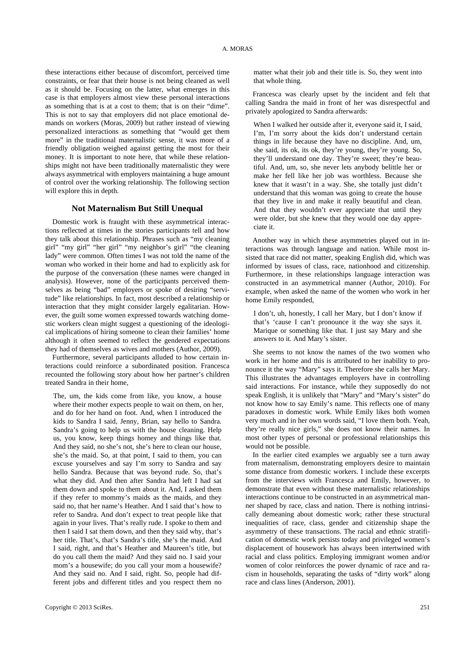these interactions either because of discomfort, perceived time constraints, or fear that their house is not being cleaned as well as it should be. Focusing on the latter, what emerges in this case is that employers almost view these personal interactions as something that is at a cost to them; that is on their "dime". This is not to say that employers did not place emotional demands on workers (Moras, 2009) but rather instead of viewing personalized interactions as something that "would get them more" in the traditional maternalistic sense, it was more of a friendly obligation weighed against getting the most for their money. It is important to note here, that while these relationships might not have been traditionally maternalistic they were always asymmetrical with employers maintaining a huge amount of control over the working relationship. The following section will explore this in depth.

#### **Not Maternalism But Still Unequal**

Domestic work is fraught with these asymmetrical interactions reflected at times in the stories participants tell and how they talk about this relationship. Phrases such as "my cleaning girl" "my girl" "her girl" "my neighbor's girl" "the cleaning lady" were common. Often times I was not told the name of the woman who worked in their home and had to explicitly ask for the purpose of the conversation (these names were changed in analysis). However, none of the participants perceived themselves as being "bad" employers or spoke of desiring "servitude" like relationships. In fact, most described a relationship or interaction that they might consider largely egalitarian. However, the guilt some women expressed towards watching domestic workers clean might suggest a questioning of the ideological implications of hiring someone to clean their families' home although it often seemed to reflect the gendered expectations they had of themselves as wives and mothers (Author, 2009).

Furthermore, several participants alluded to how certain interactions could reinforce a subordinated position. Francesca recounted the following story about how her partner's children treated Sandra in their home,

The, um, the kids come from like, you know, a house where their mother expects people to wait on them, on her. and do for her hand on foot. And, when I introduced the kids to Sandra I said, Jenny, Brian, say hello to Sandra. Sandra's going to help us with the house cleaning. Help us, you know, keep things homey and things like that. And they said, no she's not, she's here to clean our house, she's the maid. So, at that point, I said to them, you can excuse yourselves and say I'm sorry to Sandra and say hello Sandra. Because that was beyond rude. So, that's what they did. And then after Sandra had left I had sat them down and spoke to them about it. And, I asked them if they refer to mommy's maids as the maids, and they said no, that her name's Heather. And I said that's how to refer to Sandra. And don't expect to treat people like that again in your lives. That's really rude. I spoke to them and then I said I sat them down, and then they said why, that's her title. That's, that's Sandra's title, she's the maid. And I said, right, and that's Heather and Maureen's title, but do you call them the maid? And they said no. I said your mom's a housewife; do you call your mom a housewife? And they said no. And I said, right. So, people had different jobs and different titles and you respect them no

matter what their job and their title is. So, they went into that whole thing.

Francesca was clearly upset by the incident and felt that calling Sandra the maid in front of her was disrespectful and privately apologized to Sandra afterwards:

When I walked her outside after it, everyone said it, I said, I'm, I'm sorry about the kids don't understand certain things in life because they have no discipline. And, um, she said, its ok, its ok, they're young, they're young. So, they'll understand one day. They're sweet; they're beautiful. And, um, so, she never lets anybody belittle her or make her fell like her job was worthless. Because she knew that it wasn't in a way. She, she totally just didn't understand that this woman was going to create the house that they live in and make it really beautiful and clean. And that they wouldn't ever appreciate that until they were older, but she knew that they would one day appreciate it.

Another way in which these asymmetries played out in interactions was through language and nation. While most insisted that race did not matter, speaking English did, which was informed by issues of class, race, nationhood and citizenship. Furthermore, in these relationships language interaction was constructed in an asymmetrical manner (Author, 2010). For example, when asked the name of the women who work in her home Emily responded,

I don't, uh, honestly, I call her Mary, but I don't know if that's 'cause I can't pronounce it the way she says it. Marique or something like that. I just say Mary and she answers to it. And Mary's sister.

She seems to not know the names of the two women who work in her home and this is attributed to her inability to pronounce it the way "Mary" says it. Therefore she calls her Mary. This illustrates the advantages employers have in controlling said interactions. For instance, while they supposedly do not speak English, it is unlikely that "Mary" and "Mary's sister" do not know how to say Emily's name. This reflects one of many paradoxes in domestic work. While Emily likes both women very much and in her own words said, "I love them both. Yeah, they're really nice girls," she does not know their names. In most other types of personal or professional relationships this would not be possible.

In the earlier cited examples we arguably see a turn away from maternalism, demonstrating employers desire to maintain some distance from domestic workers. I include these excerpts from the interviews with Francesca and Emily, however, to demonstrate that even without these maternalistic relationships interactions continue to be constructed in an asymmetrical manner shaped by race, class and nation. There is nothing intrinsically demeaning about domestic work; rather these structural inequalities of race, class, gender and citizenship shape the asymmetry of these transactions. The racial and ethnic stratification of domestic work persists today and privileged women's displacement of housework has always been intertwined with racial and class politics. Employing immigrant women and/or women of color reinforces the power dynamic of race and racism in households, separating the tasks of "dirty work" along race and class lines (Anderson, 2001).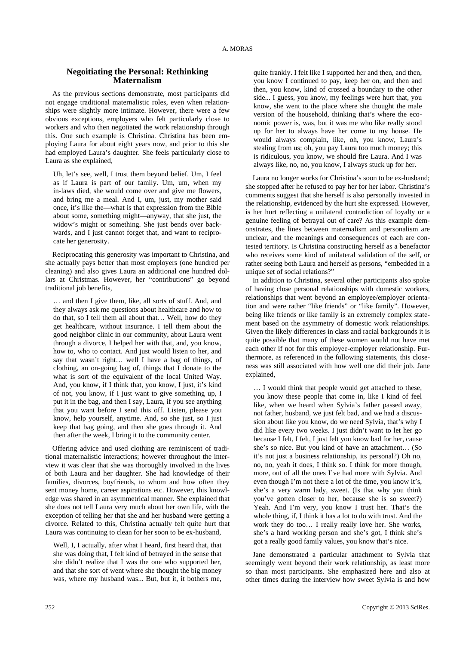### **Negoitiating the Personal: Rethinking Maternalism**

As the previous sections demonstrate, most participants did not engage traditional maternalistic roles, even when relationships were slightly more intimate. However, there were a few obvious exceptions, employers who felt particularly close to workers and who then negotiated the work relationship through this. One such example is Christina. Christina has been employing Laura for about eight years now, and prior to this she had employed Laura's daughter. She feels particularly close to Laura as she explained,

Uh, let's see, well, I trust them beyond belief. Um, I feel as if Laura is part of our family. Um, um, when my in-laws died, she would come over and give me flowers, and bring me a meal. And I, um, just, my mother said once, it's like the—what is that expression from the Bible about some, something might—anyway, that she just, the widow's might or something. She just bends over backwards, and I just cannot forget that, and want to reciprocate her generosity.

Reciprocating this generosity was important to Christina, and she actually pays better than most employers (one hundred per cleaning) and also gives Laura an additional one hundred dollars at Christmas. However, her "contributions" go beyond traditional job benefits,

… and then I give them, like, all sorts of stuff. And, and they always ask me questions about healthcare and how to do that, so I tell them all about that… Well, how do they get healthcare, without insurance. I tell them about the good neighbor clinic in our community, about Laura went through a divorce, I helped her with that, and, you know, how to, who to contact. And just would listen to her, and say that wasn't right… well I have a bag of things, of clothing, an on-going bag of, things that I donate to the what is sort of the equivalent of the local United Way. And, you know, if I think that, you know, I just, it's kind of not, you know, if I just want to give something up, I put it in the bag, and then I say, Laura, if you see anything that you want before I send this off. Listen, please you know, help yourself, anytime. And, so she just, so I just keep that bag going, and then she goes through it. And then after the week, I bring it to the community center.

Offering advice and used clothing are reminiscent of traditional maternalistic interactions; however throughout the interview it was clear that she was thoroughly involved in the lives of both Laura and her daughter. She had knowledge of their families, divorces, boyfriends, to whom and how often they sent money home, career aspirations etc. However, this knowledge was shared in an asymmetrical manner. She explained that she does not tell Laura very much about her own life, with the exception of telling her that she and her husband were getting a divorce. Related to this, Christina actually felt quite hurt that Laura was continuing to clean for her soon to be ex-husband,

Well, I, I actually, after what I heard, first heard that, that she was doing that, I felt kind of betrayed in the sense that she didn't realize that I was the one who supported her, and that she sort of went where she thought the big money was, where my husband was... But, but it, it bothers me,

quite frankly. I felt like I supported her and then, and then, you know I continued to pay, keep her on, and then and then, you know, kind of crossed a boundary to the other side... I guess, you know, my feelings were hurt that, you know, she went to the place where she thought the male version of the household, thinking that's where the economic power is, was, but it was me who like really stood up for her to always have her come to my house. He would always complain, like, oh, you know, Laura's stealing from us; oh, you pay Laura too much money; this is ridiculous, you know, we should fire Laura. And I was always like, no, no, you know, I always stuck up for her.

Laura no longer works for Christina's soon to be ex-husband; she stopped after he refused to pay her for her labor. Christina's comments suggest that she herself is also personally invested in the relationship, evidenced by the hurt she expressed. However, is her hurt reflecting a unilateral contradiction of loyalty or a genuine feeling of betrayal out of care? As this example demonstrates, the lines between maternalism and personalism are unclear, and the meanings and consequences of each are contested territory. Is Christina constructing herself as a benefactor who receives some kind of unilateral validation of the self, or rather seeing both Laura and herself as persons, "embedded in a unique set of social relations?"

In addition to Christina, several other participants also spoke of having close personal relationships with domestic workers, relationships that went beyond an employee/employer orientation and were rather "like friends" or "like family". However, being like friends or like family is an extremely complex statement based on the asymmetry of domestic work relationships. Given the likely differences in class and racial backgrounds it is quite possible that many of these women would not have met each other if not for this employee-employer relationship. Furthermore, as referenced in the following statements, this closeness was still associated with how well one did their job. Jane explained,

… I would think that people would get attached to these, you know these people that come in, like I kind of feel like, when we heard when Sylvia's father passed away, not father, husband, we just felt bad, and we had a discussion about like you know, do we need Sylvia, that's why I did like every two weeks. I just didn't want to let her go because I felt, I felt, I just felt you know bad for her, cause she's so nice. But you kind of have an attachment… (So it's not just a business relationship, its personal?) Oh no, no, no, yeah it does, I think so. I think for more though, more, out of all the ones I've had more with Sylvia. And even though I'm not there a lot of the time, you know it's, she's a very warm lady, sweet. (Is that why you think you've gotten closer to her, because she is so sweet?) Yeah. And I'm very, you know I trust her. That's the whole thing, if, I think it has a lot to do with trust. And the work they do too… I really really love her. She works, she's a hard working person and she's got, I think she's got a really good family values, you know that's nice.

Jane demonstrated a particular attachment to Sylvia that seemingly went beyond their work relationship, as least more so than most participants. She emphasized here and also at other times during the interview how sweet Sylvia is and how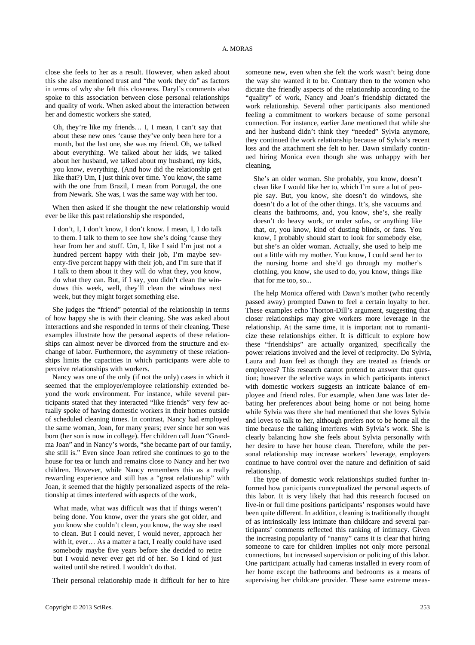close she feels to her as a result. However, when asked about this she also mentioned trust and "the work they do" as factors in terms of why she felt this closeness. Daryl's comments also spoke to this association between close personal relationships and quality of work. When asked about the interaction between her and domestic workers she stated,

Oh, they're like my friends… I, I mean, I can't say that about these new ones 'cause they've only been here for a month, but the last one, she was my friend. Oh, we talked about everything. We talked about her kids, we talked about her husband, we talked about my husband, my kids, you know, everything. (And how did the relationship get like that?) Um, I just think over time. You know, the same with the one from Brazil, I mean from Portugal, the one from Newark. She was, I was the same way with her too.

When then asked if she thought the new relationship would ever be like this past relationship she responded,

I don't, I, I don't know, I don't know. I mean, I, I do talk to them. I talk to them to see how she's doing 'cause they hear from her and stuff. Um, I, like I said I'm just not a hundred percent happy with their job, I'm maybe seventy-five percent happy with their job, and I'm sure that if I talk to them about it they will do what they, you know, do what they can. But, if I say, you didn't clean the windows this week, well, they'll clean the windows next week, but they might forget something else.

She judges the "friend" potential of the relationship in terms of how happy she is with their cleaning. She was asked about interactions and she responded in terms of their cleaning. These examples illustrate how the personal aspects of these relationships can almost never be divorced from the structure and exchange of labor. Furthermore, the asymmetry of these relationships limits the capacities in which participants were able to perceive relationships with workers.

Nancy was one of the only (if not the only) cases in which it seemed that the employer/employee relationship extended beyond the work environment. For instance, while several participants stated that they interacted "like friends" very few actually spoke of having domestic workers in their homes outside of scheduled cleaning times. In contrast, Nancy had employed the same woman, Joan, for many years; ever since her son was born (her son is now in college). Her children call Joan "Grandma Joan" and in Nancy's words, "she became part of our family, she still is." Even since Joan retired she continues to go to the house for tea or lunch and remains close to Nancy and her two children. However, while Nancy remembers this as a really rewarding experience and still has a "great relationship" with Joan, it seemed that the highly personalized aspects of the relationship at times interfered with aspects of the work,

What made, what was difficult was that if things weren't being done. You know, over the years she got older, and you know she couldn't clean, you know, the way she used to clean. But I could never, I would never, approach her with it, ever… As a matter a fact, I really could have used somebody maybe five years before she decided to retire but I would never ever get rid of her. So I kind of just waited until she retired. I wouldn't do that.

Their personal relationship made it difficult for her to hire

someone new, even when she felt the work wasn't being done the way she wanted it to be. Contrary then to the women who dictate the friendly aspects of the relationship according to the "quality" of work, Nancy and Joan's friendship dictated the work relationship. Several other participants also mentioned feeling a commitment to workers because of some personal connection. For instance, earlier Jane mentioned that while she and her husband didn't think they "needed" Sylvia anymore, they continued the work relationship because of Sylvia's recent loss and the attachment she felt to her. Dawn similarly continued hiring Monica even though she was unhappy with her cleaning,

She's an older woman. She probably, you know, doesn't clean like I would like her to, which I'm sure a lot of people say. But, you know, she doesn't do windows, she doesn't do a lot of the other things. It's, she vacuums and cleans the bathrooms, and, you know, she's, she really doesn't do heavy work, or under sofas, or anything like that, or, you know, kind of dusting blinds, or fans. You know, I probably should start to look for somebody else, but she's an older woman. Actually, she used to help me out a little with my mother. You know, I could send her to the nursing home and she'd go through my mother's clothing, you know, she used to do, you know, things like that for me too, so...

The help Monica offered with Dawn's mother (who recently passed away) prompted Dawn to feel a certain loyalty to her. These examples echo Thorton-Dill's argument, suggesting that closer relationships may give workers more leverage in the relationship. At the same time, it is important not to romanticize these relationships either. It is difficult to explore how these "friendships" are actually organized, specifically the power relations involved and the level of reciprocity. Do Sylvia, Laura and Joan feel as though they are treated as friends or employees? This research cannot pretend to answer that question; however the selective ways in which participants interact with domestic workers suggests an intricate balance of employee and friend roles. For example, when Jane was later debating her preferences about being home or not being home while Sylvia was there she had mentioned that she loves Sylvia and loves to talk to her, although prefers not to be home all the time because the talking interferes with Sylvia's work. She is clearly balancing how she feels about Sylvia personally with her desire to have her house clean. Therefore, while the personal relationship may increase workers' leverage, employers continue to have control over the nature and definition of said relationship.

The type of domestic work relationships studied further informed how participants conceptualized the personal aspects of this labor. It is very likely that had this research focused on live-in or full time positions participants' responses would have been quite different. In addition, cleaning is traditionally thought of as intrinsically less intimate than childcare and several participants' comments reflected this ranking of intimacy. Given the increasing popularity of "nanny" cams it is clear that hiring someone to care for children implies not only more personal connections, but increased supervision or policing of this labor. One participant actually had cameras installed in every room of her home except the bathrooms and bedrooms as a means of supervising her childcare provider. These same extreme meas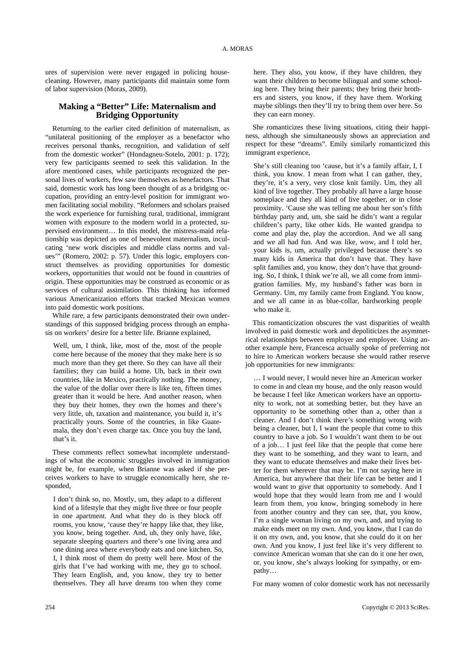ures of supervision were never engaged in policing housecleaning. However, many participants did maintain some form of labor supervision (Moras, 2009).

# **Making a "Better" Life: Maternalism and Bridging Opportunity**

Returning to the earlier cited definition of maternalism, as "unilateral positioning of the employer as a benefactor who receives personal thanks, recognition, and validation of self from the domestic worker" (Hondagneu-Sotelo, 2001: p. 172); very few participants seemed to seek this validation. In the afore mentioned cases, while participants recognized the personal lives of workers, few saw themselves as benefactors. That said, domestic work has long been thought of as a bridging occupation, providing an entry-level position for immigrant women facilitating social mobility. "Reformers and scholars praised the work experience for furnishing rural, traditional, immigrant women with exposure to the modern world in a protected, supervised environment… In this model, the mistress-maid relationship was depicted as one of benevolent maternalism, inculcating 'new work disciples and middle class norms and values'" (Romero, 2002: p. 57). Under this logic, employers construct themselves as providing opportunities for domestic workers, opportunities that would not be found in countries of origin. These opportunities may be construed as economic or as services of cultural assimilation. This thinking has informed various Americanization efforts that tracked Mexican women into paid domestic work positions.

While rare, a few participants demonstrated their own understandings of this supposed bridging process through an emphasis on workers' desire for a better life. Brianne explained,

Well, um, I think, like, most of the, most of the people come here because of the money that they make here is so much more than they get there. So they can have all their families; they can build a home. Uh, back in their own countries, like in Mexico, practically nothing. The money, the value of the dollar over there is like ten, fifteen times greater than it would be here. And another reason, when they buy their homes, they own the homes and there's very little, uh, taxation and maintenance, you build it, it's practically yours. Some of the countries, in like Guatemala, they don't even charge tax. Once you buy the land, that's it.

These comments reflect somewhat incomplete understandings of what the economic struggles involved in immigration might be, for example, when Brianne was asked if she perceives workers to have to struggle economically here, she responded,

I don't think so, no. Mostly, um, they adapt to a different kind of a lifestyle that they might live three or four people in one apartment. And what they do is they block off rooms, you know, 'cause they're happy like that, they like, you know, being together. And, uh, they only have, like, separate sleeping quarters and there's one living area and one dining area where everybody eats and one kitchen. So, I, I think most of them do pretty well here. Most of the girls that I've had working with me, they go to school. They learn English, and, you know, they try to better themselves. They all have dreams too when they come

here. They also, you know, if they have children, they want their children to become bilingual and some schooling here. They bring their parents; they bring their brothers and sisters, you know, if they have them. Working maybe siblings then they'll try to bring them over here. So they can earn money.

She romanticizes these living situations, citing their happiness, although she simultaneously shows an appreciation and respect for these "dreams". Emily similarly romanticized this immigrant experience,

She's still cleaning too 'cause, but it's a family affair, I, I think, you know. I mean from what I can gather, they, they're, it's a very, very close knit family. Um, they all kind of live together. They probably all have a large house someplace and they all kind of live together, or in close proximity. 'Cause she was telling me about her son's fifth birthday party and, um, she said he didn't want a regular children's party, like other kids. He wanted grandpa to come and play the, play the accordion. And we all sang and we all had fun. And was like, wow, and I told her, your kids is, um, actually privileged because there's so many kids in America that don't have that. They have split families and, you know, they don't have that grounding. So, I think, I think we're all, we all come from immigration families. My, my husband's father was born in Germany. Um, my family came from England. You know, and we all came in as blue-collar, hardworking people who make it.

This romanticization obscures the vast disparities of wealth involved in paid domestic work and depoliticizes the asymmetrical relationships between employer and employee. Using another example here, Francesca actually spoke of preferring not to hire to American workers because she would rather reserve job opportunities for new immigrants:

… I would never, I would never hire an American worker to come in and clean my house, and the only reason would be because I feel like American workers have an opportunity to work, not at something better, but they have an opportunity to be something other than a, other than a cleaner. And I don't think there's something wrong with being a cleaner, but I, I want the people that come to this country to have a job. So I wouldn't want them to be out of a job… I just feel like that the people that come here they want to be something, and they want to learn, and they want to educate themselves and make their lives better for them wherever that may be. I'm not saying here in America, but anywhere that their life can be better and I would want to give that opportunity to somebody. And I would hope that they would learn from me and I would learn from them, you know, bringing somebody in here from another country and they can see, that, you know, I'm a single woman living on my own, and, and trying to make ends meet on my own. And, you know, that I can do it on my own, and, you know, that she could do it on her own. And you know, I just feel like it's very different to convince American woman that she can do it one her own, or, you know, she's always looking for sympathy, or empathy…

For many women of color domestic work has not necessarily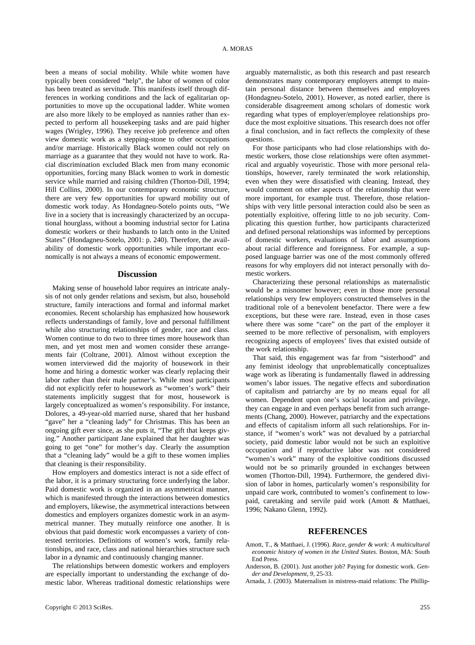been a means of social mobility. While white women have typically been considered "help", the labor of women of color has been treated as servitude. This manifests itself through differences in working conditions and the lack of egalitarian opportunities to move up the occupational ladder. White women are also more likely to be employed as nannies rather than expected to perform all housekeeping tasks and are paid higher wages (Wrigley, 1996). They receive job preference and often view domestic work as a stepping-stone to other occupations and/or marriage. Historically Black women could not rely on marriage as a guarantee that they would not have to work. Racial discrimination excluded Black men from many economic opportunities, forcing many Black women to work in domestic service while married and raising children (Thorton-Dill, 1994; Hill Collins, 2000). In our contemporary economic structure, there are very few opportunities for upward mobility out of domestic work today. As Hondagneu-Sotelo points outs, "We live in a society that is increasingly characterized by an occupational hourglass, without a booming industrial sector for Latina domestic workers or their husbands to latch onto in the United States" (Hondagneu-Sotelo, 2001: p. 240). Therefore, the availability of domestic work opportunities while important economically is not always a means of economic empowerment.

#### **Discussion**

Making sense of household labor requires an intricate analysis of not only gender relations and sexism, but also, household structure, family interactions and formal and informal market economies. Recent scholarship has emphasized how housework reflects understandings of family, love and personal fulfillment while also structuring relationships of gender, race and class. Women continue to do two to three times more housework than men, and yet most men and women consider these arrangements fair (Coltrane, 2001). Almost without exception the women interviewed did the majority of housework in their home and hiring a domestic worker was clearly replacing their labor rather than their male partner's. While most participants did not explicitly refer to housework as "women's work" their statements implicitly suggest that for most, housework is largely conceptualized as women's responsibility. For instance, Dolores, a 49-year-old married nurse, shared that her husband "gave" her a "cleaning lady" for Christmas. This has been an ongoing gift ever since, as she puts it, "The gift that keeps giving." Another participant Jane explained that her daughter was going to get "one" for mother's day. Clearly the assumption that a "cleaning lady" would be a gift to these women implies that cleaning is their responsibility.

How employers and domestics interact is not a side effect of the labor, it is a primary structuring force underlying the labor. Paid domestic work is organized in an asymmetrical manner, which is manifested through the interactions between domestics and employers, likewise, the asymmetrical interactions between domestics and employers organizes domestic work in an asymmetrical manner. They mutually reinforce one another. It is obvious that paid domestic work encompasses a variety of contested territories. Definitions of women's work, family relationships, and race, class and national hierarchies structure such labor in a dynamic and continuously changing manner.

The relationships between domestic workers and employers are especially important to understanding the exchange of domestic labor. Whereas traditional domestic relationships were arguably maternalistic, as both this research and past research demonstrates many contemporary employers attempt to maintain personal distance between themselves and employees (Hondagneu-Sotelo, 2001). However, as noted earlier, there is considerable disagreement among scholars of domestic work regarding what types of employer/employee relationships produce the most exploitive situations. This research does not offer a final conclusion, and in fact reflects the complexity of these questions.

For those participants who had close relationships with domestic workers, those close relationships were often asymmetrical and arguably voyeuristic. Those with more personal relationships, however, rarely terminated the work relationship, even when they were dissatisfied with cleaning. Instead, they would comment on other aspects of the relationship that were more important, for example trust. Therefore, those relationships with very little personal interaction could also be seen as potentially exploitive, offering little to no job security. Complicating this question further, how participants characterized and defined personal relationships was informed by perceptions of domestic workers, evaluations of labor and assumptions about racial difference and foreignness. For example, a supposed language barrier was one of the most commonly offered reasons for why employers did not interact personally with domestic workers.

Characterizing these personal relationships as maternalistic would be a misnomer however; even in those more personal relationships very few employers constructed themselves in the traditional role of a benevolent benefactor. There were a few exceptions, but these were rare. Instead, even in those cases where there was some "care" on the part of the employer it seemed to be more reflective of personalism, with employers recognizing aspects of employees' lives that existed outside of the work relationship.

That said, this engagement was far from "sisterhood" and any feminist ideology that unproblematically conceptualizes wage work as liberating is fundamentally flawed in addressing women's labor issues. The negative effects and subordination of capitalism and patriarchy are by no means equal for all women. Dependent upon one's social location and privilege, they can engage in and even perhaps benefit from such arrangements (Chang, 2000). However, patriarchy and the expectations and effects of capitalism inform all such relationships. For instance, if "women's work" was not devalued by a patriarchal society, paid domestic labor would not be such an exploitive occupation and if reproductive labor was not considered "women's work" many of the exploitive conditions discussed would not be so primarily grounded in exchanges between women (Thorton-Dill, 1994). Furthermore, the gendered division of labor in homes, particularly women's responsibility for unpaid care work, contributed to women's confinement to lowpaid, caretaking and servile paid work (Amott & Matthaei, 1996; Nakano Glenn, 1992).

#### **REFERENCES**

- Amott, T., & Matthaei, J. (1996). *Race, gender & work: A multicultural economic history of women in the United States.* Boston, MA: South End Press.
- Anderson, B. (2001). Just another job? Paying for domestic work. *Gender and Development, 9,* 25-33.
- Arnada, J. (2003). Maternalism in mistress-maid relations: The Phillip-